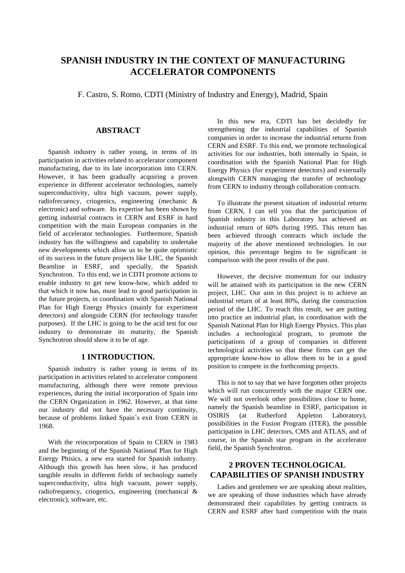# **SPANISH INDUSTRY IN THE CONTEXT OF MANUFACTURING ACCELERATOR COMPONENTS**

F. Castro, S. Romo, CDTI (Ministry of Industry and Energy), Madrid, Spain

### **ABSTRACT**

Spanish industry is rather young, in terms of its participation in activities related to accelerator component manufacturing, due to its late incorporation into CERN. However, it has been gradually acquiring a proven experience in different accelerator technologies, namely superconductivity, ultra high vacuum, power supply, radiofrecuency, criogenics, engineering (mechanic & electronic) and software. Its expertise has been shown by getting industrial contracts in CERN and ESRF in hard competition with the main European companies in the field of accelerator technologies. Furthermore, Spanish industry has the willingness and capability to undertake new developments which allow us to be quite optimistic of its success in the future projects like LHC, the Spanish Beamline in ESRF, and specially, the Spanish Synchrotron. To this end, we in CDTI promote actions to enable industry to get new know-how, which added to that which it now has, must lead to good participation in the future projects, in coordination with Spanish National Plan for High Energy Physics (mainly for experiment detectors) and alongside CERN (for technology transfer purposes). If the LHC is going to be the acid test for our industry to demonstrate its maturity, the Spanish Synchrotron should show it to be of age.

#### **1 INTRODUCTION.**

Spanish industry is rather young in terms of its participation in activities related to accelerator component manufacturing, although there were remote previous experiences, during the initial incorporation of Spain into the CERN Organization in 1962. However, at that time our industry did not have the necessary continuity, because of problems linked Spain`s exit from CERN in 1968.

With the reincorporation of Spain to CERN in 1983 and the beginning of the Spanish National Plan for High Energy Phisics, a new era started for Spanish industry. Although this growth has been slow, it has produced tangible results in different fields of technology namely superconductivity, ultra high vacuum, power supply, radiofrequency, criogenics, engineering (mechanical & electronic), software, etc.

In this new era, CDTI has bet decidedly for strengthening the industrial capabilities of Spanish companies in order to increase the industrial returns from CERN and ESRF. To this end, we promote technological activities for our industries, both internally in Spain, in coordination with the Spanish National Plan for High Energy Physics (for experiment detectors) and externally alongwith CERN managing the transfer of technology from CERN to industry through collaboration contracts.

To illustrate the present situation of industrial returns from CERN, I can tell you that the participation of Spanish industry in this Laboratory has achieved an industrial return of 60% during 1995. This return has been achieved through contracts which include the majority of the above mentioned technologies. In our opinion, this percentage begins to be significant in comparison with the poor results of the past.

However, the decisive momentum for our industry will be attained with its participation in the new CERN project, LHC. Our aim in this project is to achieve an industrial return of at least 80%, during the construction period of the LHC. To reach this result, we are putting into practice an industrial plan, in coordination with the Spanish National Plan for High Energy Physics. This plan includes a technological program, to promote the participations of a group of companies in different technological activities so that these firms can get the appropriate know-how to allow them to be in a good position to compete in the forthcoming projects.

This is not to say that we have forgotten other projects which will run concurrently with the major CERN one. We will not overlook other possibilities close to home, namely the Spanish beamline in ESRF, participation in OSIRIS (at Rutherford Appleton Laboratory), possibilities in the Fusion Program (ITER), the possible participation in LHC detectors, CMS and ATLAS, and of course, in the Spanish star program in the accelerator field, the Spanish Synchrotron.

## **2 PROVEN TECHNOLOGICAL CAPABILITIES OF SPANISH INDUSTRY**

Ladies and gentlemen we are speaking about realities, we are speaking of those industries which have already demonstrated their capabilities by getting contracts in CERN and ESRF after hard competition with the main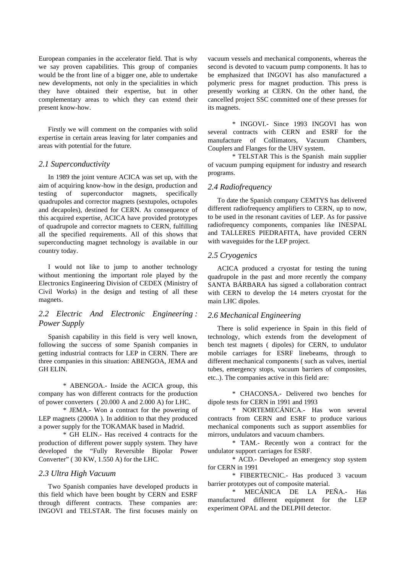European companies in the accelerator field. That is why we say proven capabilities. This group of companies would be the front line of a bigger one, able to undertake new developments, not only in the specialities in which they have obtained their expertise, but in other complementary areas to which they can extend their present know-how.

Firstly we will comment on the companies with solid expertise in certain areas leaving for later companies and areas with potential for the future.

### *2.1 Superconductivity*

In 1989 the joint venture ACICA was set up, with the aim of acquiring know-how in the design, production and testing of superconductor magnets, specifically quadrupoles and corrector magnets (sextupoles, octupoles and decapoles), destined for CERN. As consequence of this acquired expertise, ACICA have provided prototypes of quadrupole and corrector magnets to CERN, fulfilling all the specified requirements. All of this shows that superconducting magnet technology is available in our country today.

I would not like to jump to another technology without mentioning the important role played by the Electronics Engineering Division of CEDEX (Ministry of Civil Works) in the design and testing of all these magnets.

### *2.2 Electric And Electronic Engineering : Power Supply*

Spanish capability in this field is very well known, following the success of some Spanish companies in getting industrial contracts for LEP in CERN. There are three companies in this situation: ABENGOA, JEMA and GH ELIN.

\* ABENGOA.- Inside the ACICA group, this company has won different contracts for the production of power converters ( 20.000 A and 2.000 A) for LHC.

\* JEMA.- Won a contract for the powering of LEP magnets (2000A ). In addition to that they produced a power supply for the TOKAMAK based in Madrid.

\* GH ELIN.- Has received 4 contracts for the production of different power supply system. They have developed the "Fully Reversible Bipolar Power Converter" ( 30 KW, 1.550 A) for the LHC.

#### *2.3 Ultra High Vacuum*

Two Spanish companies have developed products in this field which have been bought by CERN and ESRF through different contracts. These companies are: INGOVI and TELSTAR. The first focuses mainly on vacuum vessels and mechanical components, whereas the second is devoted to vacuum pump components. It has to be emphasized that INGOVI has also manufactured a polymeric press for magnet production. This press is presently working at CERN. On the other hand, the cancelled project SSC committed one of these presses for its magnets.

\* INGOVI.- Since 1993 INGOVI has won several contracts with CERN and ESRF for the manufacture of Collimators, Vacuum Chambers, Couplers and Flanges for the UHV system.

\* TELSTAR This is the Spanish main supplier of vacuum pumping equipment for industry and research programs.

#### *2.4 Radiofrequency*

To date the Spanish company CEMTYS has delivered different radiofrequency amplifiers to CERN, up to now, to be used in the resonant cavities of LEP. As for passive radiofrequency components, companies like INESPAL and TALLERES PIEDRAFITA, have provided CERN with waveguides for the LEP project.

#### *2.5 Cryogenics*

ACICA produced a cryostat for testing the tuning quadrupole in the past and more recently the company SANTA BÁRBARA has signed a collaboration contract with CERN to develop the 14 meters cryostat for the main LHC dipoles.

#### *2.6 Mechanical Engineering*

There is solid experience in Spain in this field of technology, which extends from the development of bench test magnets ( dipoles) for CERN, to undulator mobile carriages for ESRF linebeams, through to different mechanical components ( such as valves, inertial tubes, emergency stops, vacuum barriers of composites, etc..). The companies active in this field are:

\* CHACONSA.- Delivered two benches for dipole tests for CERN in 1991 and 1993

\* NORTEMECÁNICA.- Has won several contracts from CERN and ESRF to produce various mechanical components such as support assemblies for mirrors, undulators and vacuum chambers.

\* TAM.- Recently won a contract for the undulator support carriages for ESRF.

\* ACD.- Developed an emergency stop system for CERN in 1991

\* FIBERTECNIC.- Has produced 3 vacuum barrier prototypes out of composite material.

\* MECÁNICA DE LA PEÑA.- Has manufactured different equipment for the LEP experiment OPAL and the DELPHI detector.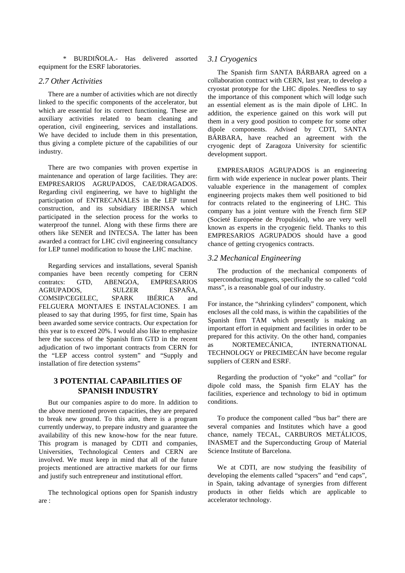\* BURDIÑOLA.- Has delivered assorted equipment for the ESRF laboratories.

### *2.7 Other Activities*

There are a number of activities which are not directly linked to the specific components of the accelerator, but which are essential for its correct functioning. These are auxiliary activities related to beam cleaning and operation, civil engineering, services and installations. We have decided to include them in this presentation, thus giving a complete picture of the capabilities of our industry.

There are two companies with proven expertise in maintenance and operation of large facilities. They are: EMPRESARIOS AGRUPADOS, CAE/DRAGADOS. Regarding civil engineering, we have to highlight the participation of ENTRECANALES in the LEP tunnel construction, and its subsidiary IBERINSA which participated in the selection process for the works to waterproof the tunnel. Along with these firms there are others like SENER and INTECSA. The latter has been awarded a contract for LHC civil engineering consultancy for LEP tunnel modification to house the LHC machine.

Regarding services and installations, several Spanish companies have been recently competing for CERN contratcs: GTD, ABENGOA, EMPRESARIOS AGRUPADOS, SULZER ESPAÑA, COMSIP/CEGELEC, SPARK IBÉRICA and FELGUERA MONTAJES E INSTALACIONES. I am pleased to say that during 1995, for first time, Spain has been awarded some service contracts. Our expectation for this year is to exceed 20%. I would also like to emphasize here the success of the Spanish firm GTD in the recent adjudication of two important contracts from CERN for the "LEP access control system" and "Supply and installation of fire detection systems"

### **3 POTENTIAL CAPABILITIES OF SPANISH INDUSTRY**

But our companies aspire to do more. In addition to the above mentioned proven capacities, they are prepared to break new ground. To this aim, there is a program currently underway, to prepare industry and guarantee the availability of this new know-how for the near future. This program is managed by CDTI and companies, Universities, Technological Centers and CERN are involved. We must keep in mind that all of the future projects mentioned are attractive markets for our firms and justify such entrepreneur and institutional effort.

The technological options open for Spanish industry are :

#### *3.1 Cryogenics*

The Spanish firm SANTA BÁRBARA agreed on a collaboration contract with CERN, last year, to develop a cryostat prototype for the LHC dipoles. Needless to say the importance of this component which will lodge such an essential element as is the main dipole of LHC. In addition, the experience gained on this work will put them in a very good position to compete for some other dipole components. Advised by CDTI, SANTA BÁRBARA, have reached an agreement with the cryogenic dept of Zaragoza University for scientific development support.

EMPRESARIOS AGRUPADOS is an engineering firm with wide experience in nuclear power plants. Their valuable experience in the management of complex engineering projects makes them well positioned to bid for contracts related to the engineering of LHC. This company has a joint venture with the French firm SEP (Societé Europeéne de Propulsión), who are very well known as experts in the cryogenic field. Thanks to this EMPRESARIOS AGRUPADOS should have a good chance of getting cryogenics contracts.

### *3.2 Mechanical Engineering*

The production of the mechanical components of superconducting magnets, specifically the so called "cold mass", is a reasonable goal of our industry.

For instance, the "shrinking cylinders" component, which encloses all the cold mass, is within the capabilities of the Spanish firm TAM which presently is making an important effort in equipment and facilities in order to be prepared for this activity. On the other hand, companies as NORTEMECÁNICA, INTERNATIONAL TECHNOLOGY or PRECIMECÁN have become regular suppliers of CERN and ESRF.

Regarding the production of "yoke" and "collar" for dipole cold mass, the Spanish firm ELAY has the facilities, experience and technology to bid in optimum conditions.

To produce the component called "bus bar" there are several companies and Institutes which have a good chance, namely TECAL, CARBUROS METÁLICOS, INASMET and the Superconducting Group of Material Science Institute of Barcelona.

We at CDTI, are now studying the feasibility of developing the elements called "spacers" and "end caps", in Spain, taking advantage of synergies from different products in other fields which are applicable to accelerator technology.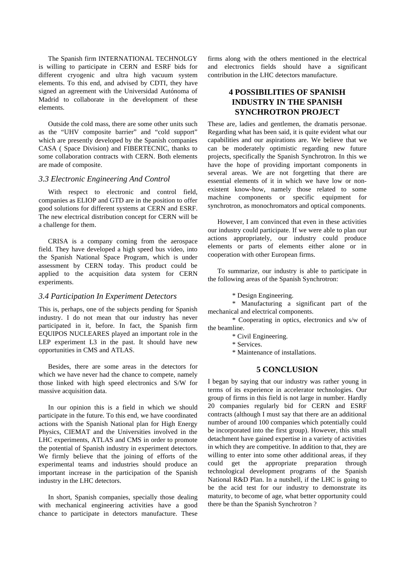The Spanish firm INTERNATIONAL TECHNOLGY is willing to participate in CERN and ESRF bids for different cryogenic and ultra high vacuum system elements. To this end, and advised by CDTI, they have signed an agreement with the Universidad Autónoma of Madrid to collaborate in the development of these elements.

Outside the cold mass, there are some other units such as the "UHV composite barrier" and "cold support" which are presently developed by the Spanish companies CASA ( Space Division) and FIBERTECNIC, thanks to some collaboration contracts with CERN. Both elements are made of composite.

#### *3.3 Electronic Engineering And Control*

With respect to electronic and control field, companies as ELIOP and GTD are in the position to offer good solutions for different systems at CERN and ESRF. The new electrical distribution concept for CERN will be a challenge for them.

CRISA is a company coming from the aerospace field. They have developed a high speed bus video, into the Spanish National Space Program, which is under assessment by CERN today. This product could be applied to the acquisition data system for CERN experiments.

### *3.4 Participation In Experiment Detectors*

This is, perhaps, one of the subjects pending for Spanish industry. I do not mean that our industry has never participated in it, before. In fact, the Spanish firm EQUIPOS NUCLEARES played an important role in the LEP experiment L3 in the past. It should have new opportunities in CMS and ATLAS.

Besides, there are some areas in the detectors for which we have never had the chance to compete, namely those linked with high speed electronics and S/W for massive acquisition data.

In our opinion this is a field in which we should participate in the future. To this end, we have coordinated actions with the Spanish National plan for High Energy Physics, CIEMAT and the Universities involved in the LHC experiments, ATLAS and CMS in order to promote the potential of Spanish industry in experiment detectors. We firmly believe that the joining of efforts of the experimental teams and industries should produce an important increase in the participation of the Spanish industry in the LHC detectors.

In short, Spanish companies, specially those dealing with mechanical engineering activities have a good chance to participate in detectors manufacture. These

firms along with the others mentioned in the electrical and electronics fields should have a significant contribution in the LHC detectors manufacture.

# **4 POSSIBILITIES OF SPANISH INDUSTRY IN THE SPANISH SYNCHROTRON PROJECT**

These are, ladies and gentlemen, the dramatis personae. Regarding what has been said, it is quite evident what our capabilities and our aspirations are. We believe that we can be moderately optimistic regarding new future projects, specifically the Spanish Synchrotron. In this we have the hope of providing important components in several areas. We are not forgetting that there are essential elements of it in which we have low or nonexistent know-how, namely those related to some machine components or specific equipment for synchrotron, as monochromators and optical components.

However, I am convinced that even in these activities our industry could participate. If we were able to plan our actions appropriately, our industry could produce elements or parts of elements either alone or in cooperation with other European firms.

To summarize, our industry is able to participate in the following areas of the Spanish Synchrotron:

\* Design Engineering.

\* Manufacturing a significant part of the mechanical and electrical components.

\* Cooperating in optics, electronics and s/w of the beamline.

\* Civil Engineering.

\* Services.

\* Maintenance of installations.

### **5 CONCLUSION**

I began by saying that our industry was rather young in terms of its experience in accelerator technologies. Our group of firms in this field is not large in number. Hardly 20 companies regularly bid for CERN and ESRF contracts (although I must say that there are an additional number of around 100 companies which potentially could be incorporated into the first group). However, this small detachment have gained expertise in a variety of activities in which they are competitive. In addition to that, they are willing to enter into some other additional areas, if they could get the appropriate preparation through technological development programs of the Spanish National R&D Plan. In a nutshell, if the LHC is going to be the acid test for our industry to demonstrate its maturity, to become of age, what better opportunity could there be than the Spanish Synchrotron ?